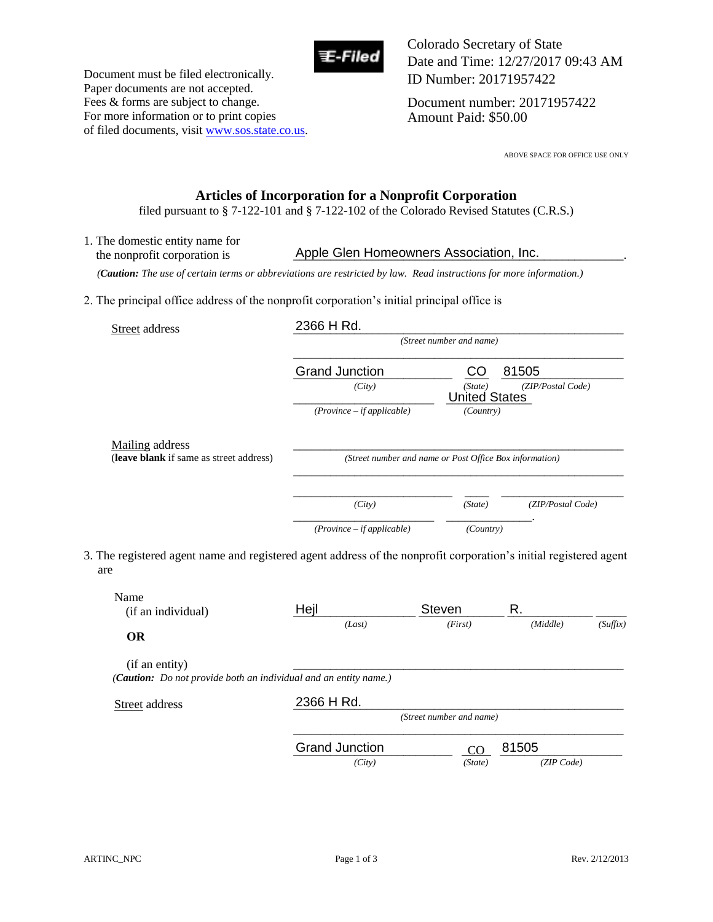

Document must be filed electronically. Paper documents are not accepted. Fees & forms are subject to change. For more information or to print copies of filed documents, visit www.sos.state.co.us. Colorado Secretary of State Date and Time: 12/27/2017 09:43 AM ID Number: 20171957422

Document number: 20171957422 Amount Paid: \$50.00

ABOVE SPACE FOR OFFICE USE ONLY

## **Articles of Incorporation for a Nonprofit Corporation**

filed pursuant to § 7-122-101 and § 7-122-102 of the Colorado Revised Statutes (C.R.S.)

1. The domestic entity name for the nonprofit corporation is **Apple Glen Homeowners Association, Inc.** 

 *(Caution: The use of certain terms or abbreviations are restricted by law. Read instructions for more information.)*

2. The principal office address of the nonprofit corporation's initial principal office is

| Street address                          | 2366 H Rd.                                              |                                 |                   |
|-----------------------------------------|---------------------------------------------------------|---------------------------------|-------------------|
|                                         | (Street number and name)                                |                                 |                   |
|                                         | <b>Grand Junction</b>                                   | CO                              | 81505             |
|                                         | (City)                                                  | (State)<br><b>United States</b> | (ZIP/Postal Code) |
|                                         | $(Province - if applicable)$                            | (Country)                       |                   |
| <b>Mailing</b> address                  |                                                         |                                 |                   |
| (leave blank if same as street address) | (Street number and name or Post Office Box information) |                                 |                   |
|                                         |                                                         |                                 |                   |
|                                         | (City)                                                  | (State)                         | (ZIP/Postal Code) |
|                                         |                                                         |                                 |                   |

3. The registered agent name and registered agent address of the nonprofit corporation's initial registered agent are

| Name<br>(if an individual) | Hejl                                                             | <b>Steven</b>            | R.         |          |
|----------------------------|------------------------------------------------------------------|--------------------------|------------|----------|
|                            | (Last)                                                           | (First)                  | (Middle)   | (Suffix) |
| <b>OR</b>                  |                                                                  |                          |            |          |
| (if an entity)             |                                                                  |                          |            |          |
|                            | (Caution: Do not provide both an individual and an entity name.) |                          |            |          |
| Street address             | 2366 H Rd.                                                       |                          |            |          |
|                            |                                                                  | (Street number and name) |            |          |
|                            | <b>Grand Junction</b>                                            | <sub>CO</sub>            | 81505      |          |
|                            | (City)                                                           | (State)                  | (ZIP Code) |          |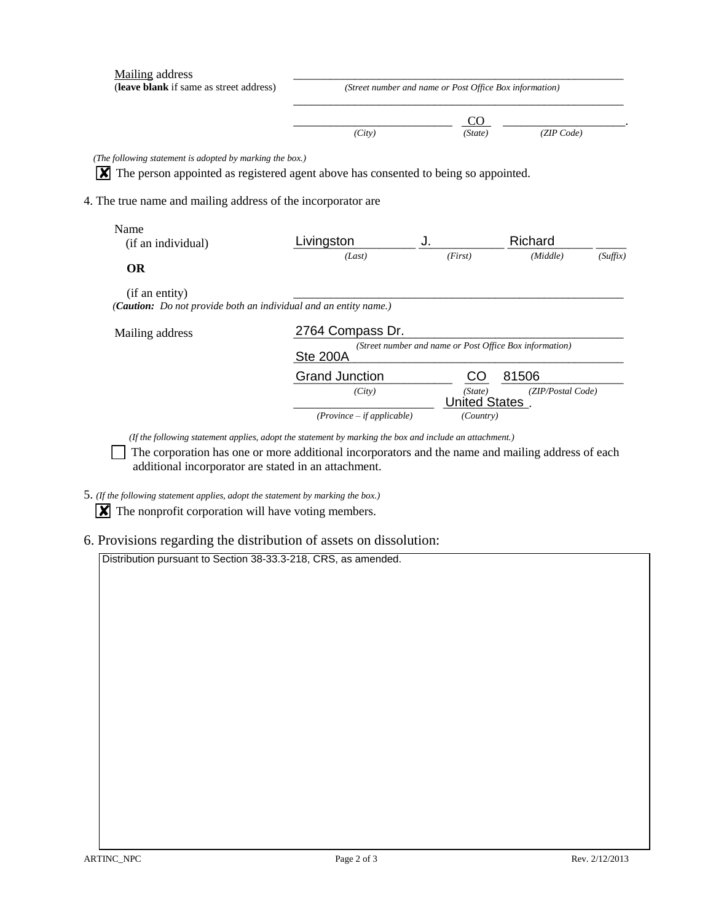| Mailing address<br>(leave blank if same as street address)                          | (Street number and name or Post Office Box information) |                                 |                   |          |  |
|-------------------------------------------------------------------------------------|---------------------------------------------------------|---------------------------------|-------------------|----------|--|
|                                                                                     | (City)                                                  | CO<br>(State)                   | (ZIP Code)        |          |  |
|                                                                                     |                                                         |                                 |                   |          |  |
| (The following statement is adopted by marking the box.)                            |                                                         |                                 |                   |          |  |
| The person appointed as registered agent above has consented to being so appointed. |                                                         |                                 |                   |          |  |
|                                                                                     |                                                         |                                 |                   |          |  |
| 4. The true name and mailing address of the incorporator are                        |                                                         |                                 |                   |          |  |
|                                                                                     |                                                         |                                 |                   |          |  |
| Name                                                                                |                                                         |                                 |                   |          |  |
| (if an individual)                                                                  | Livingston                                              | J.                              | Richard           |          |  |
|                                                                                     | (Last)                                                  | (First)                         | (Middle)          | (Suffix) |  |
| <b>OR</b>                                                                           |                                                         |                                 |                   |          |  |
| (if an entity)                                                                      |                                                         |                                 |                   |          |  |
| (Caution: Do not provide both an individual and an entity name.)                    |                                                         |                                 |                   |          |  |
|                                                                                     |                                                         |                                 |                   |          |  |
| Mailing address                                                                     | 2764 Compass Dr.                                        |                                 |                   |          |  |
|                                                                                     | (Street number and name or Post Office Box information) |                                 |                   |          |  |
|                                                                                     | <b>Ste 200A</b>                                         |                                 |                   |          |  |
|                                                                                     |                                                         |                                 |                   |          |  |
|                                                                                     | <b>Grand Junction</b>                                   | CO.                             | 81506             |          |  |
|                                                                                     | (City)                                                  | (State)<br><b>United States</b> | (ZIP/Postal Code) |          |  |

*(If the following statement applies, adopt the statement by marking the box and include an attachment.)* 

 The corporation has one or more additional incorporators and the name and mailing address of each additional incorporator are stated in an attachment.

5. *(If the following statement applies, adopt the statement by marking the box.)* 

 $\boxed{\mathbf{X}}$  The nonprofit corporation will have voting members.

6. Provisions regarding the distribution of assets on dissolution:

Distribution pursuant to Section 38-33.3-218, CRS, as amended.